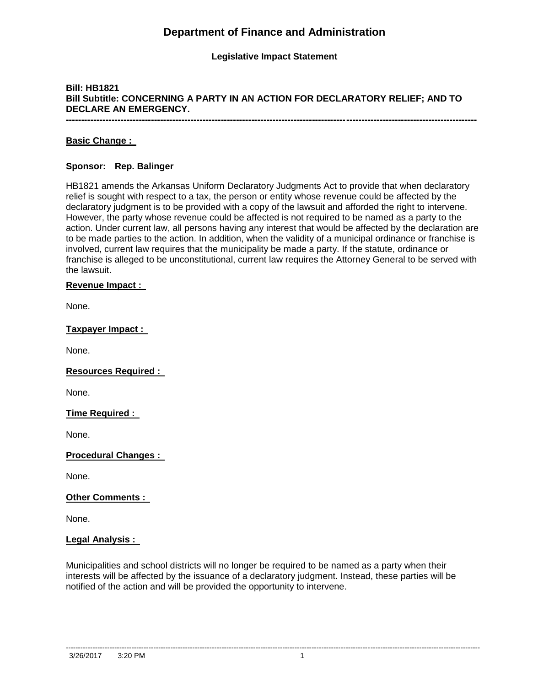# **Department of Finance and Administration**

## **Legislative Impact Statement**

# **Bill: HB1821 Bill Subtitle: CONCERNING A PARTY IN AN ACTION FOR DECLARATORY RELIEF; AND TO DECLARE AN EMERGENCY.**

**---------------------------------------------------------------------------------------------------------------------------------------**

## **Basic Change :**

## **Sponsor: Rep. Balinger**

HB1821 amends the Arkansas Uniform Declaratory Judgments Act to provide that when declaratory relief is sought with respect to a tax, the person or entity whose revenue could be affected by the declaratory judgment is to be provided with a copy of the lawsuit and afforded the right to intervene. However, the party whose revenue could be affected is not required to be named as a party to the action. Under current law, all persons having any interest that would be affected by the declaration are to be made parties to the action. In addition, when the validity of a municipal ordinance or franchise is involved, current law requires that the municipality be made a party. If the statute, ordinance or franchise is alleged to be unconstitutional, current law requires the Attorney General to be served with the lawsuit.

### **Revenue Impact :**

None.

## **Taxpayer Impact :**

None.

# **Resources Required :**

None.

# **Time Required :**

None.

### **Procedural Changes :**

None.

### **Other Comments :**

None.

### **Legal Analysis :**

Municipalities and school districts will no longer be required to be named as a party when their interests will be affected by the issuance of a declaratory judgment. Instead, these parties will be notified of the action and will be provided the opportunity to intervene.